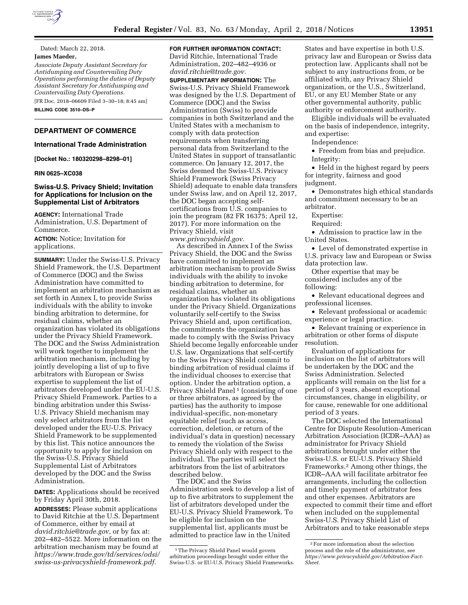

Dated: March 22, 2018.

# **James Maeder,**

*Associate Deputy Assistant Secretary for Antidumping and Countervailing Duty Operations performing the duties of Deputy Assistant Secretary for Antidumping and Countervailing Duty Operations.* 

[FR Doc. 2018–06609 Filed 3–30–18; 8:45 am] **BILLING CODE 3510–DS–P** 

# **DEPARTMENT OF COMMERCE**

# **International Trade Administration**

**[Docket No.: 180320298–8298–01]** 

### **RIN 0625–XC038**

# **Swiss-U.S. Privacy Shield; Invitation for Applications for Inclusion on the Supplemental List of Arbitrators**

**AGENCY:** International Trade Administration, U.S. Department of Commerce.

**ACTION:** Notice; Invitation for applications.

**SUMMARY:** Under the Swiss-U.S. Privacy Shield Framework, the U.S. Department of Commerce (DOC) and the Swiss Administration have committed to implement an arbitration mechanism as set forth in Annex I, to provide Swiss individuals with the ability to invoke binding arbitration to determine, for residual claims, whether an organization has violated its obligations under the Privacy Shield Framework. The DOC and the Swiss Administration will work together to implement the arbitration mechanism, including by jointly developing a list of up to five arbitrators with European or Swiss expertise to supplement the list of arbitrators developed under the EU-U.S. Privacy Shield Framework. Parties to a binding arbitration under this Swiss-U.S. Privacy Shield mechanism may only select arbitrators from the list developed under the EU-U.S. Privacy Shield Framework to be supplemented by this list. This notice announces the opportunity to apply for inclusion on the Swiss-U.S. Privacy Shield Supplemental List of Arbitrators developed by the DOC and the Swiss Administration.

**DATES:** Applications should be received by Friday April 30th, 2018.

**ADDRESSES:** Please submit applications to David Ritchie at the U.S. Department of Commerce, either by email at *[david.ritchie@trade.gov,](mailto:david.ritchie@trade.gov)* or by fax at: 202–482–5522. More information on the arbitration mechanism may be found at *[https://www.trade.gov/td/services/odsi/](https://www.trade.gov/td/services/odsi/swiss-us-privacyshield-framework.pdf) [swiss-us-privacyshield-framework.pdf.](https://www.trade.gov/td/services/odsi/swiss-us-privacyshield-framework.pdf)* 

# **FOR FURTHER INFORMATION CONTACT:**  David Ritchie, International Trade Administration, 202–482–4936 or

*[david.ritchie@trade.gov.](mailto:david.ritchie@trade.gov)*  **SUPPLEMENTARY INFORMATION:** The Swiss-U.S. Privacy Shield Framework was designed by the U.S. Department of Commerce (DOC) and the Swiss Administration (Swiss) to provide companies in both Switzerland and the United States with a mechanism to comply with data protection requirements when transferring personal data from Switzerland to the United States in support of transatlantic commerce. On January 12, 2017, the Swiss deemed the Swiss-U.S. Privacy Shield Framework (Swiss Privacy Shield) adequate to enable data transfers under Swiss law, and on April 12, 2017, the DOC began accepting selfcertifications from U.S. companies to join the program (82 FR 16375; April 12, 2017). For more information on the Privacy Shield, visit *[www.privacyshield.gov.](http://www.privacyshield.gov)* 

As described in Annex I of the Swiss Privacy Shield, the DOC and the Swiss have committed to implement an arbitration mechanism to provide Swiss individuals with the ability to invoke binding arbitration to determine, for residual claims, whether an organization has violated its obligations under the Privacy Shield. Organizations voluntarily self-certify to the Swiss Privacy Shield and, upon certification, the commitments the organization has made to comply with the Swiss Privacy Shield become legally enforceable under U.S. law. Organizations that self-certify to the Swiss Privacy Shield commit to binding arbitration of residual claims if the individual chooses to exercise that option. Under the arbitration option, a Privacy Shield Panel<sup>1</sup> (consisting of one or three arbitrators, as agreed by the parties) has the authority to impose individual-specific, non-monetary equitable relief (such as access, correction, deletion, or return of the individual's data in question) necessary to remedy the violation of the Swiss Privacy Shield only with respect to the individual. The parties will select the arbitrators from the list of arbitrators described below.

The DOC and the Swiss Administration seek to develop a list of up to five arbitrators to supplement the list of arbitrators developed under the EU-U.S. Privacy Shield Framework. To be eligible for inclusion on the supplemental list, applicants must be admitted to practice law in the United

States and have expertise in both U.S. privacy law and European or Swiss data protection law. Applicants shall not be subject to any instructions from, or be affiliated with, any Privacy Shield organization, or the U.S., Switzerland, EU, or any EU Member State or any other governmental authority, public authority or enforcement authority.

Eligible individuals will be evaluated on the basis of independence, integrity, and expertise:

Independence:

• Freedom from bias and prejudice. Integrity:

• Held in the highest regard by peers for integrity, fairness and good judgment.

• Demonstrates high ethical standards and commitment necessary to be an arbitrator.

Expertise:

Required:

• Admission to practice law in the United States.

• Level of demonstrated expertise in U.S. privacy law and European or Swiss data protection law.

Other expertise that may be considered includes any of the following:

• Relevant educational degrees and professional licenses.

• Relevant professional or academic experience or legal practice.

• Relevant training or experience in arbitration or other forms of dispute resolution.

Evaluation of applications for inclusion on the list of arbitrators will be undertaken by the DOC and the Swiss Administration. Selected applicants will remain on the list for a period of 3 years, absent exceptional circumstances, change in eligibility, or for cause, renewable for one additional period of 3 years.

The DOC selected the International Centre for Dispute Resolution-American Arbitration Association (ICDR–AAA) as administrator for Privacy Shield arbitrations brought under either the Swiss-U.S. or EU-U.S. Privacy Shield Frameworks.2 Among other things, the ICDR–AAA will facilitate arbitrator fee arrangements, including the collection and timely payment of arbitrator fees and other expenses. Arbitrators are expected to commit their time and effort when included on the supplemental Swiss-U.S. Privacy Shield List of Arbitrators and to take reasonable steps

<sup>&</sup>lt;sup>1</sup>The Privacy Shield Panel would govern arbitration proceedings brought under either the Swiss-U.S. or EU-U.S. Privacy Shield Frameworks.

<sup>2</sup>For more information about the selection process and the role of the administrator, see *[https://www.privacyshield.gov/Arbitration-Fact-](https://www.privacyshield.gov/Arbitration-Fact-Sheet)[Sheet.](https://www.privacyshield.gov/Arbitration-Fact-Sheet)*